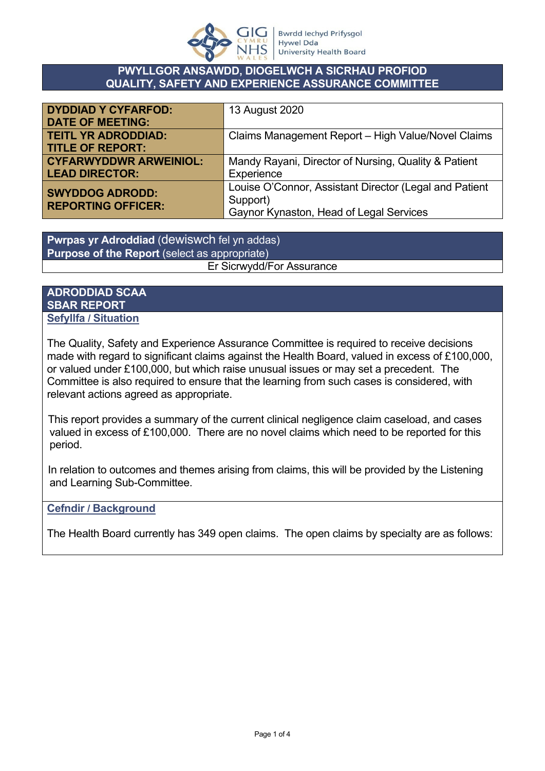

#### **PWYLLGOR ANSAWDD, DIOGELWCH A SICRHAU PROFIOD QUALITY, SAFETY AND EXPERIENCE ASSURANCE COMMITTEE**

| <b>DYDDIAD Y CYFARFOD:</b>                          | 13 August 2020                                         |
|-----------------------------------------------------|--------------------------------------------------------|
| <b>DATE OF MEETING:</b>                             |                                                        |
| <b>TEITL YR ADRODDIAD:</b>                          | Claims Management Report - High Value/Novel Claims     |
| <b>TITLE OF REPORT:</b>                             |                                                        |
| <b>CYFARWYDDWR ARWEINIOL:</b>                       | Mandy Rayani, Director of Nursing, Quality & Patient   |
| <b>LEAD DIRECTOR:</b>                               | Experience                                             |
| <b>SWYDDOG ADRODD:</b><br><b>REPORTING OFFICER:</b> | Louise O'Connor, Assistant Director (Legal and Patient |
|                                                     | Support)                                               |
|                                                     | Gaynor Kynaston, Head of Legal Services                |

**Pwrpas yr Adroddiad** (dewiswch fel yn addas) **Purpose of the Report** (select as appropriate) Er Sicrwydd/For Assurance

#### **ADRODDIAD SCAA SBAR REPORT Sefyllfa / Situation**

The Quality, Safety and Experience Assurance Committee is required to receive decisions made with regard to significant claims against the Health Board, valued in excess of £100,000. or valued under £100,000, but which raise unusual issues or may set a precedent. The Committee is also required to ensure that the learning from such cases is considered, with relevant actions agreed as appropriate.

This report provides a summary of the current clinical negligence claim caseload, and cases valued in excess of £100,000. There are no novel claims which need to be reported for this period.

In relation to outcomes and themes arising from claims, this will be provided by the Listening and Learning Sub-Committee.

## **Cefndir / Background**

The Health Board currently has 349 open claims. The open claims by specialty are as follows: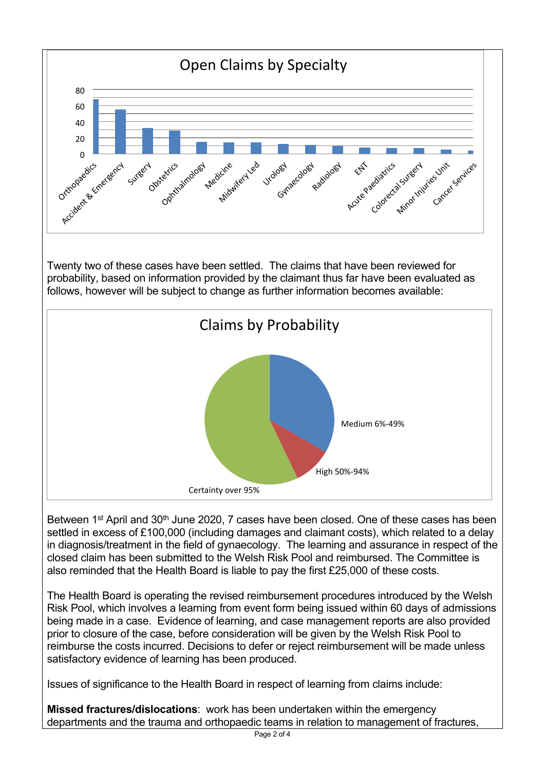

Between 1<sup>st</sup> April and 30<sup>th</sup> June 2020, 7 cases have been closed. One of these cases has been settled in excess of £100,000 (including damages and claimant costs), which related to a delay in diagnosis/treatment in the field of gynaecology. The learning and assurance in respect of the closed claim has been submitted to the Welsh Risk Pool and reimbursed. The Committee is also reminded that the Health Board is liable to pay the first £25,000 of these costs.

The Health Board is operating the revised reimbursement procedures introduced by the Welsh Risk Pool, which involves a learning from event form being issued within 60 days of admissions being made in a case. Evidence of learning, and case management reports are also provided prior to closure of the case, before consideration will be given by the Welsh Risk Pool to reimburse the costs incurred. Decisions to defer or reject reimbursement will be made unless satisfactory evidence of learning has been produced.

Issues of significance to the Health Board in respect of learning from claims include:

**Missed fractures/dislocations**: work has been undertaken within the emergency departments and the trauma and orthopaedic teams in relation to management of fractures,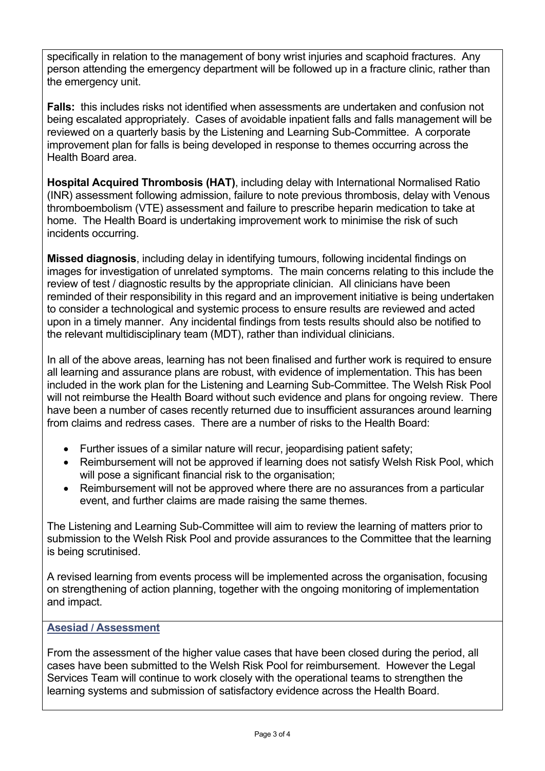specifically in relation to the management of bony wrist injuries and scaphoid fractures. Any person attending the emergency department will be followed up in a fracture clinic, rather than the emergency unit.

**Falls:** this includes risks not identified when assessments are undertaken and confusion not being escalated appropriately. Cases of avoidable inpatient falls and falls management will be reviewed on a quarterly basis by the Listening and Learning Sub-Committee. A corporate improvement plan for falls is being developed in response to themes occurring across the Health Board area.

**Hospital Acquired Thrombosis (HAT)**, including delay with International Normalised Ratio (INR) assessment following admission, failure to note previous thrombosis, delay with Venous thromboembolism (VTE) assessment and failure to prescribe heparin medication to take at home. The Health Board is undertaking improvement work to minimise the risk of such incidents occurring.

**Missed diagnosis**, including delay in identifying tumours, following incidental findings on images for investigation of unrelated symptoms. The main concerns relating to this include the review of test / diagnostic results by the appropriate clinician. All clinicians have been reminded of their responsibility in this regard and an improvement initiative is being undertaken to consider a technological and systemic process to ensure results are reviewed and acted upon in a timely manner. Any incidental findings from tests results should also be notified to the relevant multidisciplinary team (MDT), rather than individual clinicians.

In all of the above areas, learning has not been finalised and further work is required to ensure all learning and assurance plans are robust, with evidence of implementation. This has been included in the work plan for the Listening and Learning Sub-Committee. The Welsh Risk Pool will not reimburse the Health Board without such evidence and plans for ongoing review. There have been a number of cases recently returned due to insufficient assurances around learning from claims and redress cases. There are a number of risks to the Health Board:

- Further issues of a similar nature will recur, jeopardising patient safety:
- Reimbursement will not be approved if learning does not satisfy Welsh Risk Pool, which will pose a significant financial risk to the organisation;
- Reimbursement will not be approved where there are no assurances from a particular event, and further claims are made raising the same themes.

The Listening and Learning Sub-Committee will aim to review the learning of matters prior to submission to the Welsh Risk Pool and provide assurances to the Committee that the learning is being scrutinised.

A revised learning from events process will be implemented across the organisation, focusing on strengthening of action planning, together with the ongoing monitoring of implementation and impact.

## **Asesiad / Assessment**

From the assessment of the higher value cases that have been closed during the period, all cases have been submitted to the Welsh Risk Pool for reimbursement. However the Legal Services Team will continue to work closely with the operational teams to strengthen the learning systems and submission of satisfactory evidence across the Health Board.